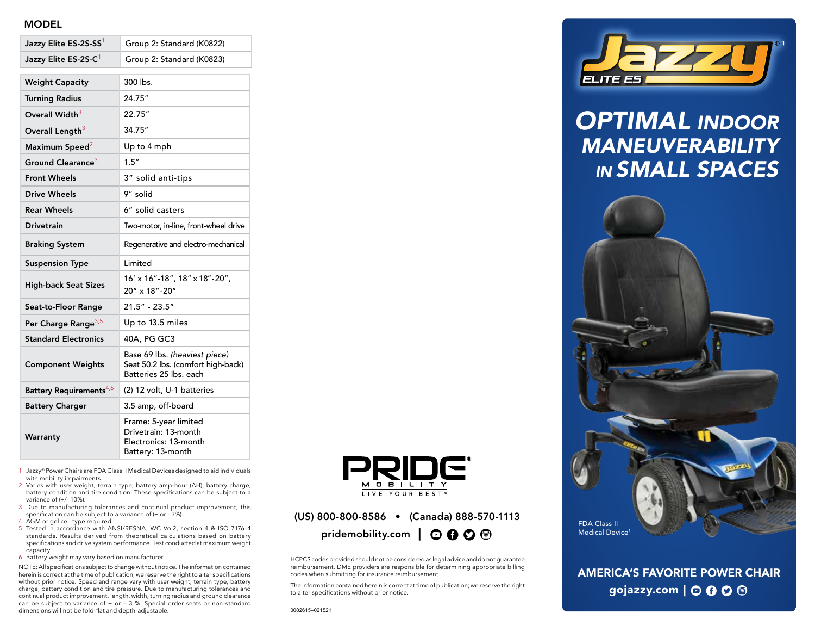# MODEL

| Jazzy Elite ES-2S-SS <sup>1</sup>   | Group 2: Standard (K0822)                                                                     |
|-------------------------------------|-----------------------------------------------------------------------------------------------|
| Jazzy Elite ES-2S-C <sup>1</sup>    | Group 2: Standard (K0823)                                                                     |
| <b>Weight Capacity</b>              | 300 lbs.                                                                                      |
| <b>Turning Radius</b>               | 24.75"                                                                                        |
| Overall Width <sup>3</sup>          | 22.75"                                                                                        |
| Overall Length <sup>3</sup>         | 34.75"                                                                                        |
| Maximum Speed <sup>2</sup>          | Up to 4 mph                                                                                   |
| Ground Clearance <sup>3</sup>       | 1.5''                                                                                         |
| <b>Front Wheels</b>                 | 3" solid anti-tips                                                                            |
| <b>Drive Wheels</b>                 | 9" solid                                                                                      |
| <b>Rear Wheels</b>                  | 6" solid casters                                                                              |
| <b>Drivetrain</b>                   | Two-motor, in-line, front-wheel drive                                                         |
| <b>Braking System</b>               | Regenerative and electro-mechanical                                                           |
| <b>Suspension Type</b>              | Limited                                                                                       |
| <b>High-back Seat Sizes</b>         | 16' x 16"-18", 18" x 18"-20",<br>20" x 18"-20"                                                |
| Seat-to-Floor Range                 | $21.5" - 23.5"$                                                                               |
| Per Charge Range <sup>3,5</sup>     | Up to 13.5 miles                                                                              |
| <b>Standard Electronics</b>         | 40A, PG GC3                                                                                   |
| <b>Component Weights</b>            | Base 69 lbs. (heaviest piece)<br>Seat 50.2 lbs. (comfort high-back)<br>Batteries 25 lbs. each |
| Battery Requirements <sup>4,6</sup> | (2) 12 volt, U-1 batteries                                                                    |
| <b>Battery Charger</b>              | 3.5 amp, off-board                                                                            |
| Warranty                            | Frame: 5-year limited<br>Drivetrain: 13-month<br>Electronics: 13-month<br>Battery: 13-month   |

- 1 Jazzy® Power Chairs are FDA Class II Medical Devices designed to aid individuals with mobility impairments.
- 2 Varies with user weight, terrain type, battery amp-hour (AH), battery charge, battery condition and tire condition. These specifications can be subject to a variance of (+/- 10%).
- 3 Due to manufacturing tolerances and continual product improvement, this specification can be subject to a variance of (+ or - 3%).
- 4 AGM or gel cell type required.
- 5 Tested in accordance with ANSI/RESNA, WC Vol2, section 4 & ISO 7176-4 standards. Results derived from theoretical calculations based on battery specifications and drive system performance. Test conducted at maximum weight capacity.
- 6 Battery weight may vary based on manufacturer.

NOTE: All specifications subject to change without notice. The information contained herein is correct at the time of publication; we reserve the right to alter specifications without prior notice. Speed and range vary with user weight, terrain type, battery charge, battery condition and tire pressure. Due to manufacturing tolerances and continual product improvement, length, width, turning radius and ground clearance can be subject to variance of  $+$  or  $-$  3 %. Special order seats or non-standard dimensions will not be fold-flat and depth-adjustable.



# (US) 800-800-8586 • (Canada) 888-570-1113 pridemobility.com |  $\odot$  0  $\odot$  <sup>®</sup>

HCPCS codes provided should not be considered as legal advice and do not guarantee reimbursement. DME providers are responsible for determining appropriate billing codes when submitting for insurance reimbursement.

The information contained herein is correct at time of publication; we reserve the right to alter specifications without prior notice.



# *OPTIMAL INDOOR MANEUVERABILITY IN SMALL SPACES*



AMERICA'S FAVORITE POWER CHAIR gojazzy.com  $\bigcup$   $\bigcirc$   $\bigcirc$   $\bigcirc$   $\bigcirc$